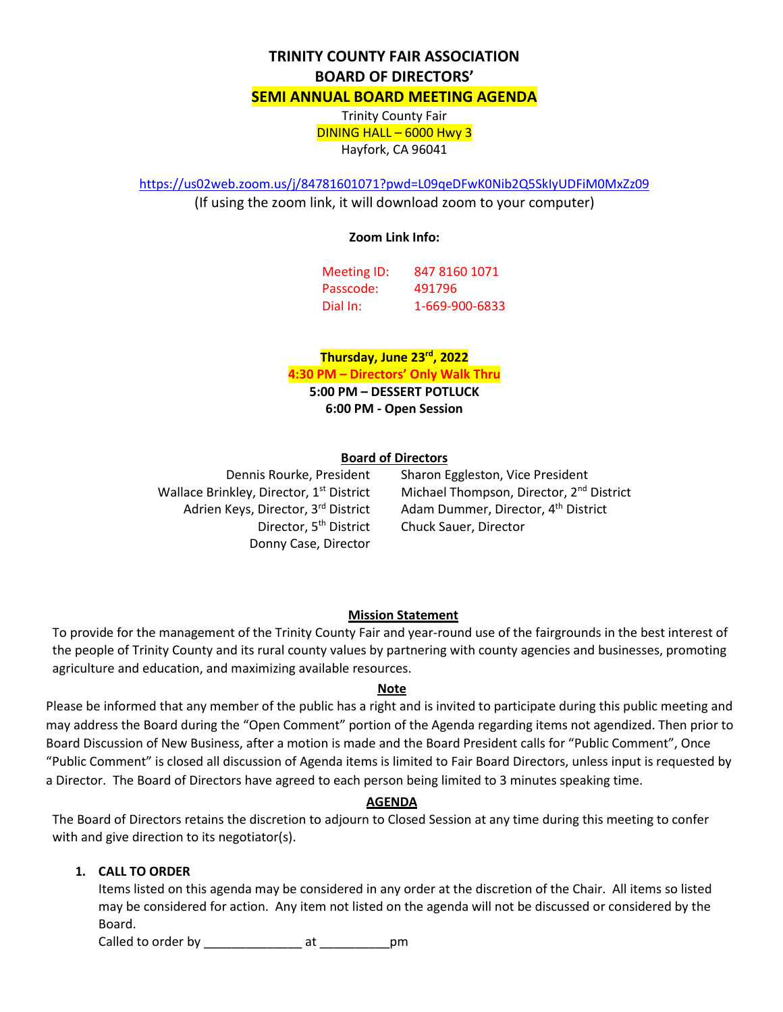# **TRINITY COUNTY FAIR ASSOCIATION BOARD OF DIRECTORS' SEMI ANNUAL BOARD MEETING AGENDA** Trinity County Fair

DINING HALL – 6000 Hwy 3 Hayfork, CA 96041

<https://us02web.zoom.us/j/84781601071?pwd=L09qeDFwK0Nib2Q5SkIyUDFiM0MxZz09>

(If using the zoom link, it will download zoom to your computer)

## **Zoom Link Info:**

| Meeting ID: | 847 8160 1071  |
|-------------|----------------|
| Passcode:   | 491796         |
| Dial In:    | 1-669-900-6833 |

**Thursday, June 23rd, 2022**

**4:30 PM – Directors' Only Walk Thru**

**5:00 PM – DESSERT POTLUCK**

**6:00 PM - Open Session**

## **Board of Directors**

Wallace Brinkley, Director, 1<sup>st</sup> District Adrien Keys, Director, 3rd District Director, 5<sup>th</sup> District Donny Case, Director

Dennis Rourke, President Sharon Eggleston, Vice President Michael Thompson, Director, 2<sup>nd</sup> District Adam Dummer, Director, 4<sup>th</sup> District Chuck Sauer, Director

# **Mission Statement**

To provide for the management of the Trinity County Fair and year-round use of the fairgrounds in the best interest of the people of Trinity County and its rural county values by partnering with county agencies and businesses, promoting agriculture and education, and maximizing available resources.

#### **Note**

Please be informed that any member of the public has a right and is invited to participate during this public meeting and may address the Board during the "Open Comment" portion of the Agenda regarding items not agendized. Then prior to Board Discussion of New Business, after a motion is made and the Board President calls for "Public Comment", Once "Public Comment" is closed all discussion of Agenda items is limited to Fair Board Directors, unless input is requested by a Director. The Board of Directors have agreed to each person being limited to 3 minutes speaking time.

# **AGENDA**

The Board of Directors retains the discretion to adjourn to Closed Session at any time during this meeting to confer with and give direction to its negotiator(s).

# **1. CALL TO ORDER**

Items listed on this agenda may be considered in any order at the discretion of the Chair. All items so listed may be considered for action. Any item not listed on the agenda will not be discussed or considered by the Board.

Called to order by \_\_\_\_\_\_\_\_\_\_\_\_\_\_ at \_\_\_\_\_\_\_\_\_\_pm